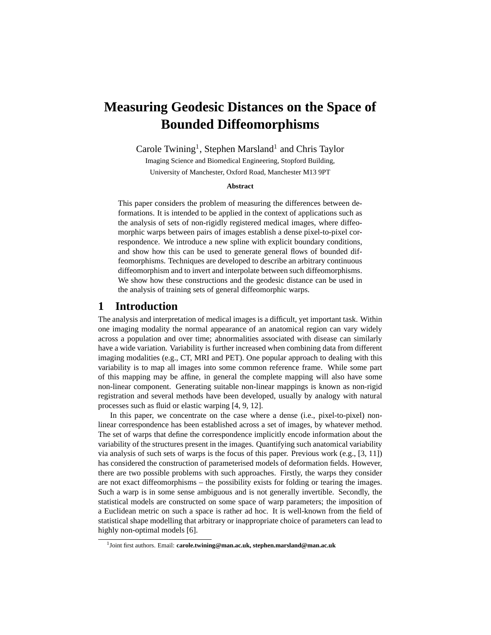# **Measuring Geodesic Distances on the Space of Bounded Diffeomorphisms**

Carole Twining<sup>1</sup>, Stephen Marsland<sup>1</sup> and Chris Taylor

Imaging Science and Biomedical Engineering, Stopford Building, University of Manchester, Oxford Road, Manchester M13 9PT

#### **Abstract**

This paper considers the problem of measuring the differences between deformations. It is intended to be applied in the context of applications such as the analysis of sets of non-rigidly registered medical images, where diffeomorphic warps between pairs of images establish a dense pixel-to-pixel correspondence. We introduce a new spline with explicit boundary conditions, and show how this can be used to generate general flows of bounded diffeomorphisms. Techniques are developed to describe an arbitrary continuous diffeomorphism and to invert and interpolate between such diffeomorphisms. We show how these constructions and the geodesic distance can be used in the analysis of training sets of general diffeomorphic warps.

### **1 Introduction**

The analysis and interpretation of medical images is a difficult, yet important task. Within one imaging modality the normal appearance of an anatomical region can vary widely across a population and over time; abnormalities associated with disease can similarly have a wide variation. Variability is further increased when combining data from different imaging modalities (e.g., CT, MRI and PET). One popular approach to dealing with this variability is to map all images into some common reference frame. While some part of this mapping may be affine, in general the complete mapping will also have some non-linear component. Generating suitable non-linear mappings is known as non-rigid registration and several methods have been developed, usually by analogy with natural processes such as fluid or elastic warping [4, 9, 12].

In this paper, we concentrate on the case where a dense (i.e., pixel-to-pixel) nonlinear correspondence has been established across a set of images, by whatever method. The set of warps that define the correspondence implicitly encode information about the variability of the structures present in the images. Quantifying such anatomical variability via analysis of such sets of warps is the focus of this paper. Previous work (e.g., [3, 11]) has considered the construction of parameterised models of deformation fields. However, there are two possible problems with such approaches. Firstly, the warps they consider are not exact diffeomorphisms – the possibility exists for folding or tearing the images. Such a warp is in some sense ambiguous and is not generally invertible. Secondly, the statistical models are constructed on some space of warp parameters; the imposition of a Euclidean metric on such a space is rather ad hoc. It is well-known from the field of statistical shape modelling that arbitrary or inappropriate choice of parameters can lead to highly non-optimal models [6].

<sup>1</sup> Joint first authors. Email: **carole.twining@man.ac.uk, stephen.marsland@man.ac.uk**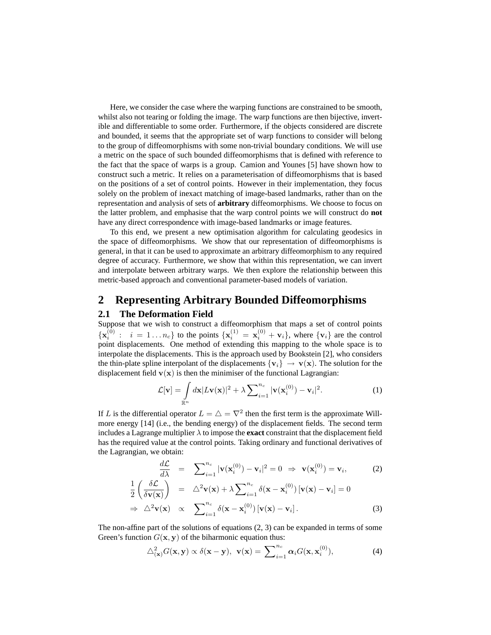Here, we consider the case where the warping functions are constrained to be smooth, whilst also not tearing or folding the image. The warp functions are then bijective, invertible and differentiable to some order. Furthermore, if the objects considered are discrete and bounded, it seems that the appropriate set of warp functions to consider will belong to the group of diffeomorphisms with some non-trivial boundary conditions. We will use a metric on the space of such bounded diffeomorphisms that is defined with reference to the fact that the space of warps is a group. Camion and Younes [5] have shown how to construct such a metric. It relies on a parameterisation of diffeomorphisms that is based on the positions of a set of control points. However in their implementation, they focus solely on the problem of inexact matching of image-based landmarks, rather than on the representation and analysis of sets of **arbitrary** diffeomorphisms. We choose to focus on the latter problem, and emphasise that the warp control points we will construct do **not** have any direct correspondence with image-based landmarks or image features.

To this end, we present a new optimisation algorithm for calculating geodesics in the space of diffeomorphisms. We show that our representation of diffeomorphisms is general, in that it can be used to approximate an arbitrary diffeomorphism to any required degree of accuracy. Furthermore, we show that within this representation, we can invert and interpolate between arbitrary warps. We then explore the relationship between this metric-based approach and conventional parameter-based models of variation.

## **2 Representing Arbitrary Bounded Diffeomorphisms**

#### **2.1 The Deformation Field**

Suppose that we wish to construct a diffeomorphism that maps a set of control points  $\{x_i^{(0)}: i = 1...n_c\}$  to the points  $\{x_i^{(1)} = x_i^{(0)} + v_i\}$ , where  $\{v_i\}$  are the control point displacements. One method of extending this mapping to the whole space is to interpolate the displacements. This is the approach used by Bookstein [2], who considers the thin-plate spline interpolant of the displacements  $\{v_i\} \rightarrow v(x)$ . The solution for the displacement field  $\mathbf{v}(\mathbf{x})$  is then the minimiser of the functional Lagrangian:

$$
\mathcal{L}[\mathbf{v}] = \int_{\mathbb{R}^n} d\mathbf{x} |L\mathbf{v}(\mathbf{x})|^2 + \lambda \sum_{i=1}^{n_c} |\mathbf{v}(\mathbf{x}_i^{(0)}) - \mathbf{v}_i|^2.
$$
 (1)

If L is the differential operator  $L = \triangle = \nabla^2$  then the first term is the approximate Willmore energy [14] (i.e., the bending energy) of the displacement fields. The second term includes a Lagrange multiplier  $\lambda$  to impose the **exact** constraint that the displacement field has the required value at the control points. Taking ordinary and functional derivatives of the Lagrangian, we obtain:

$$
\frac{d\mathcal{L}}{d\lambda} = \sum_{i=1}^{n_c} |\mathbf{v}(\mathbf{x}_i^{(0)}) - \mathbf{v}_i|^2 = 0 \Rightarrow \mathbf{v}(\mathbf{x}_i^{(0)}) = \mathbf{v}_i,
$$
\n
$$
\frac{1}{2} \left( \frac{\delta \mathcal{L}}{\delta \mathbf{v}(\mathbf{x})} \right) = \Delta^2 \mathbf{v}(\mathbf{x}) + \lambda \sum_{i=1}^{n_c} \delta(\mathbf{x} - \mathbf{x}_i^{(0)}) [\mathbf{v}(\mathbf{x}) - \mathbf{v}_i] = 0
$$
\n
$$
\Rightarrow \Delta^2 \mathbf{v}(\mathbf{x}) \propto \sum_{i=1}^{n_c} \delta(\mathbf{x} - \mathbf{x}_i^{(0)}) [\mathbf{v}(\mathbf{x}) - \mathbf{v}_i].
$$
\n(3)

The non-affine part of the solutions of equations  $(2, 3)$  can be expanded in terms of some Green's function  $G(x, y)$  of the biharmonic equation thus:

$$
\triangle^2_{(\mathbf{x})} G(\mathbf{x}, \mathbf{y}) \propto \delta(\mathbf{x} - \mathbf{y}), \ \mathbf{v}(\mathbf{x}) = \sum_{i=1}^{n_c} \alpha_i G(\mathbf{x}, \mathbf{x}_i^{(0)}), \tag{4}
$$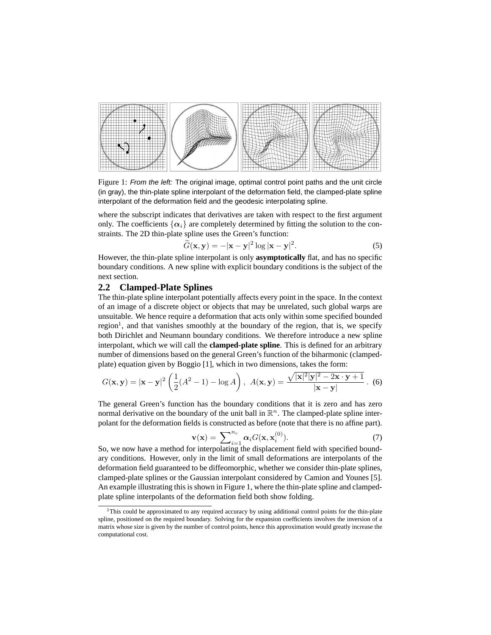

Figure 1: From the left: The original image, optimal control point paths and the unit circle (in gray), the thin-plate spline interpolant of the deformation field, the clamped-plate spline interpolant of the deformation field and the geodesic interpolating spline.

where the subscript indicates that derivatives are taken with respect to the first argument only. The coefficients  $\{\alpha_i\}$  are completely determined by fitting the solution to the constraints. The 2D thin-plate spline uses the Green's function:

$$
\widetilde{G}(\mathbf{x}, \mathbf{y}) = -|\mathbf{x} - \mathbf{y}|^2 \log |\mathbf{x} - \mathbf{y}|^2.
$$
 (5)

However, the thin-plate spline interpolant is only **asymptotically** flat, and has no specific boundary conditions. A new spline with explicit boundary conditions is the subject of the next section.

#### **2.2 Clamped-Plate Splines**

The thin-plate spline interpolant potentially affects every point in the space. In the context of an image of a discrete object or objects that may be unrelated, such global warps are unsuitable. We hence require a deformation that acts only within some specified bounded region<sup>1</sup>, and that vanishes smoothly at the boundary of the region, that is, we specify both Dirichlet and Neumann boundary conditions. We therefore introduce a new spline interpolant, which we will call the **clamped-plate spline**. This is defined for an arbitrary number of dimensions based on the general Green's function of the biharmonic (clampedplate) equation given by Boggio [1], which in two dimensions, takes the form:

$$
G(\mathbf{x}, \mathbf{y}) = |\mathbf{x} - \mathbf{y}|^2 \left( \frac{1}{2} (A^2 - 1) - \log A \right), \quad A(\mathbf{x}, \mathbf{y}) = \frac{\sqrt{|\mathbf{x}|^2 |\mathbf{y}|^2 - 2\mathbf{x} \cdot \mathbf{y} + 1}}{|\mathbf{x} - \mathbf{y}|} . \tag{6}
$$

The general Green's function has the boundary conditions that it is zero and has zero normal derivative on the boundary of the unit ball in  $\mathbb{R}^n$ . The clamped-plate spline interpolant for the deformation fields is constructed as before (note that there is no affine part).

$$
\mathbf{v}(\mathbf{x}) = \sum_{i=1}^{n_c} \alpha_i G(\mathbf{x}, \mathbf{x}_i^{(0)}).
$$
 (7)

So, we now have a method for interpolating the displacement field with specified boundary conditions. However, only in the limit of small deformations are interpolants of the deformation field guaranteed to be diffeomorphic, whether we consider thin-plate splines, clamped-plate splines or the Gaussian interpolant considered by Camion and Younes [5]. An example illustrating this is shown in Figure 1, where the thin-plate spline and clampedplate spline interpolants of the deformation field both show folding.

<sup>&</sup>lt;sup>1</sup>This could be approximated to any required accuracy by using additional control points for the thin-plate spline, positioned on the required boundary. Solving for the expansion coefficients involves the inversion of a matrix whose size is given by the number of control points, hence this approximation would greatly increase the computational cost.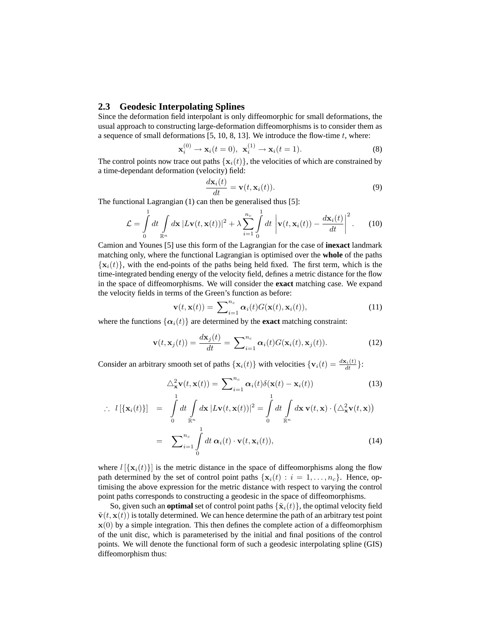#### **2.3 Geodesic Interpolating Splines**

Since the deformation field interpolant is only diffeomorphic for small deformations, the usual approach to constructing large-deformation diffeomorphisms is to consider them as a sequence of small deformations  $[5, 10, 8, 13]$ . We introduce the flow-time  $t$ , where:

$$
\mathbf{x}_i^{(0)} \to \mathbf{x}_i(t=0), \ \mathbf{x}_i^{(1)} \to \mathbf{x}_i(t=1). \tag{8}
$$

The control points now trace out paths  $\{x_i(t)\}\$ , the velocities of which are constrained by a time-dependant deformation (velocity) field:

$$
\frac{d\mathbf{x}_i(t)}{dt} = \mathbf{v}(t, \mathbf{x}_i(t)).
$$
\n(9)

The functional Lagrangian (1) can then be generalised thus [5]:

$$
\mathcal{L} = \int_{0}^{1} dt \int_{\mathbb{R}^n} d\mathbf{x} |L\mathbf{v}(t, \mathbf{x}(t))|^2 + \lambda \sum_{i=1}^{n_c} \int_{0}^{1} dt \left| \mathbf{v}(t, \mathbf{x}_i(t)) - \frac{d\mathbf{x}_i(t)}{dt} \right|^2.
$$
 (10)

Camion and Younes [5] use this form of the Lagrangian for the case of **inexact** landmark matching only, where the functional Lagrangian is optimised over the **whole** of the paths  ${x_i(t)}$ , with the end-points of the paths being held fixed. The first term, which is the time-integrated bending energy of the velocity field, defines a metric distance for the flow in the space of diffeomorphisms. We will consider the **exact** matching case. We expand the velocity fields in terms of the Green's function as before:

$$
\mathbf{v}(t, \mathbf{x}(t)) = \sum_{i=1}^{n_c} \alpha_i(t) G(\mathbf{x}(t), \mathbf{x}_i(t)),
$$
\n(11)

where the functions  $\{\alpha_i(t)\}\$ are determined by the **exact** matching constraint:

$$
\mathbf{v}(t, \mathbf{x}_j(t)) = \frac{d\mathbf{x}_j(t)}{dt} = \sum_{i=1}^{n_c} \alpha_i(t) G(\mathbf{x}_i(t), \mathbf{x}_j(t)).
$$
\n(12)

Consider an arbitrary smooth set of paths  $\{x_i(t)\}\$  with velocities  $\{v_i(t) = \frac{d\mathbf{x}_i(t)}{dt}\}\$ :

$$
\triangle_{\mathbf{x}}^2 \mathbf{v}(t, \mathbf{x}(t)) = \sum_{i=1}^{n_c} \alpha_i(t) \delta(\mathbf{x}(t) - \mathbf{x}_i(t))
$$
\n(13)

$$
\therefore l[\{\mathbf{x}_i(t)\}] = \int_0^1 dt \int_{\mathbb{R}^n} d\mathbf{x} |L\mathbf{v}(t,\mathbf{x}(t))|^2 = \int_0^1 dt \int_{\mathbb{R}^n} d\mathbf{x} \mathbf{v}(t,\mathbf{x}) \cdot (\triangle^2_{\mathbf{x}} \mathbf{v}(t,\mathbf{x}))
$$

$$
= \sum_{i=1}^{n_c} \int_0^1 dt \, \alpha_i(t) \cdot \mathbf{v}(t,\mathbf{x}_i(t)), \tag{14}
$$

where  $l[\mathbf{x}_i(t)]$  is the metric distance in the space of diffeomorphisms along the flow path determined by the set of control point paths  $\{x_i(t) : i = 1, \ldots, n_c\}$ . Hence, optimising the above expression for the metric distance with respect to varying the control point paths corresponds to constructing a geodesic in the space of diffeomorphisms.

So, given such an **optimal** set of control point paths  $\{\tilde{\mathbf{x}}_i(t)\}\$ , the optimal velocity field  $\tilde{\mathbf{v}}(t, \mathbf{x}(t))$  is totally determined. We can hence determine the path of an arbitrary test point  $x(0)$  by a simple integration. This then defines the complete action of a diffeomorphism of the unit disc, which is parameterised by the initial and final positions of the control points. We will denote the functional form of such a geodesic interpolating spline (GIS) diffeomorphism thus: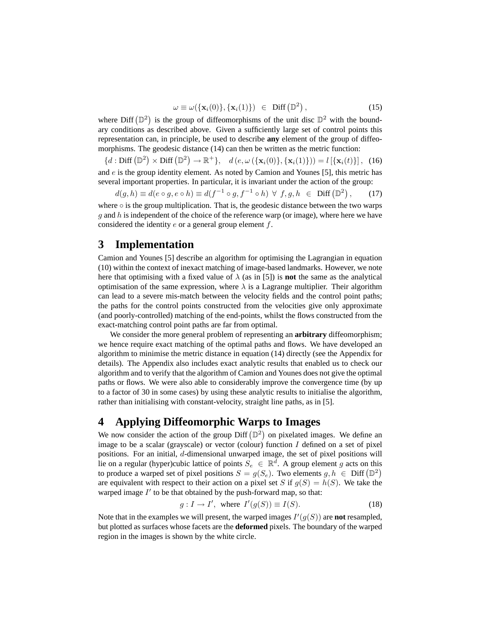$$
\omega \equiv \omega(\{\mathbf{x}_i(0)\}, \{\mathbf{x}_i(1)\}) \in \text{Diff}(\mathbb{D}^2), \tag{15}
$$

where Diff  $(\mathbb{D}^2)$ is the group of diffeomorphisms of the unit disc  $\mathbb{D}^2$  with the boundary conditions as described above. Given a sufficiently large set of control points this representation can, in principle, be used to describe **any** element of the group of diffeomorphisms. The geodesic distance (14) can then be written as the metric function:

 ${d : Diff(\mathbb{D}^2) \times Diff(\mathbb{D}^2)}$  $\rightarrow \mathbb{R}^+$ },  $d(e, \omega(\{\mathbf{x}_i(0)\}, \{\mathbf{x}_i(1)\})) = l[\{\mathbf{x}_i(t)\}],$  (16) and  $e$  is the group identity element. As noted by Camion and Younes [5], this metric has

several important properties. In particular, it is invariant under the action of the group:

\n
$$
d(g, h) \equiv d(e \circ g, e \circ h) \equiv d(f^{-1} \circ g, f^{-1} \circ h) \ \forall \ f, g, h \in \text{Diff}(\mathbb{D}^2), \tag{17}
$$

where  $\circ$  is the group multiplication. That is, the geodesic distance between the two warps  $q$  and  $h$  is independent of the choice of the reference warp (or image), where here we have considered the identity  $e$  or a general group element  $f$ .

# **3 Implementation**

Camion and Younes [5] describe an algorithm for optimising the Lagrangian in equation (10) within the context of inexact matching of image-based landmarks. However, we note here that optimising with a fixed value of  $\lambda$  (as in [5]) is **not** the same as the analytical optimisation of the same expression, where  $\lambda$  is a Lagrange multiplier. Their algorithm can lead to a severe mis-match between the velocity fields and the control point paths; the paths for the control points constructed from the velocities give only approximate (and poorly-controlled) matching of the end-points, whilst the flows constructed from the exact-matching control point paths are far from optimal.

We consider the more general problem of representing an **arbitrary** diffeomorphism; we hence require exact matching of the optimal paths and flows. We have developed an algorithm to minimise the metric distance in equation (14) directly (see the Appendix for details). The Appendix also includes exact analytic results that enabled us to check our algorithm and to verify that the algorithm of Camion and Younes does not give the optimal paths or flows. We were also able to considerably improve the convergence time (by up to a factor of 30 in some cases) by using these analytic results to initialise the algorithm, rather than initialising with constant-velocity, straight line paths, as in [5].

# **4 Applying Diffeomorphic Warps to Images**

We now consider the action of the group Diff  $(\mathbb{D}^2)$ on pixelated images. We define an image to be a scalar (grayscale) or vector (colour) function  $I$  defined on a set of pixel positions. For an initial, d-dimensional unwarped image, the set of pixel positions will lie on a regular (hyper)cubic lattice of points  $S_e \in \mathbb{R}^d$ . A group element g acts on this the on a regular (hyper)cubic lattice of points  $S_e \in \mathbb{R}^n$ . A group element g acts on this to produce a warped set of pixel positions  $S = g(S_e)$ . Two elements  $g, h \in \text{Diff}(\mathbb{D}^2)$ are equivalent with respect to their action on a pixel set S if  $g(S) = h(S)$ . We take the warped image  $I'$  to be that obtained by the push-forward map, so that:

$$
g: I \to I', \text{ where } I'(g(S)) \equiv I(S). \tag{18}
$$

Note that in the examples we will present, the warped images  $I'(g(S))$  are **not** resampled, but plotted as surfaces whose facets are the **deformed** pixels. The boundary of the warped region in the images is shown by the white circle.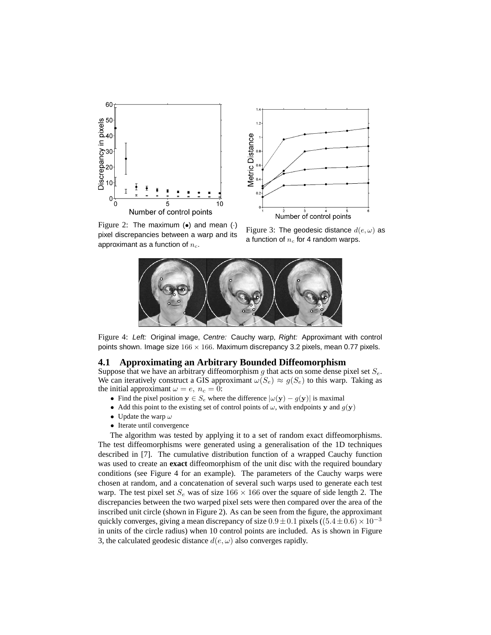



Figure 2: The maximum  $(\bullet)$  and mean  $(\cdot)$ pixel discrepancies between a warp and its approximant as a function of  $n_c$ .

Figure 3: The geodesic distance  $d(e, \omega)$  as a function of  $n_c$  for 4 random warps.



Figure 4: Left: Original image, Centre: Cauchy warp, Right: Approximant with control points shown. Image size  $166 \times 166$ . Maximum discrepancy 3.2 pixels, mean 0.77 pixels.

#### **4.1 Approximating an Arbitrary Bounded Diffeomorphism**

Suppose that we have an arbitrary diffeomorphism g that acts on some dense pixel set  $S_e$ . We can iteratively construct a GIS approximant  $\omega(S_e) \approx g(S_e)$  to this warp. Taking as the initial approximant  $\omega = e$ ,  $n_c = 0$ :

- Find the pixel position  $y \in S_e$  where the difference  $|\omega(y) g(y)|$  is maximal
- Add this point to the existing set of control points of  $\omega$ , with endpoints y and  $g(y)$
- Update the warp  $\omega$
- Iterate until convergence

The algorithm was tested by applying it to a set of random exact diffeomorphisms. The test diffeomorphisms were generated using a generalisation of the 1D techniques described in [7]. The cumulative distribution function of a wrapped Cauchy function was used to create an **exact** diffeomorphism of the unit disc with the required boundary conditions (see Figure 4 for an example). The parameters of the Cauchy warps were chosen at random, and a concatenation of several such warps used to generate each test warp. The test pixel set  $S_e$  was of size 166  $\times$  166 over the square of side length 2. The discrepancies between the two warped pixel sets were then compared over the area of the inscribed unit circle (shown in Figure 2). As can be seen from the figure, the approximant quickly converges, giving a mean discrepancy of size  $0.9 \pm 0.1$  pixels ((5.4 $\pm 0.6$ ) ×  $10^{-3}$ in units of the circle radius) when 10 control points are included. As is shown in Figure 3, the calculated geodesic distance  $d(e, \omega)$  also converges rapidly.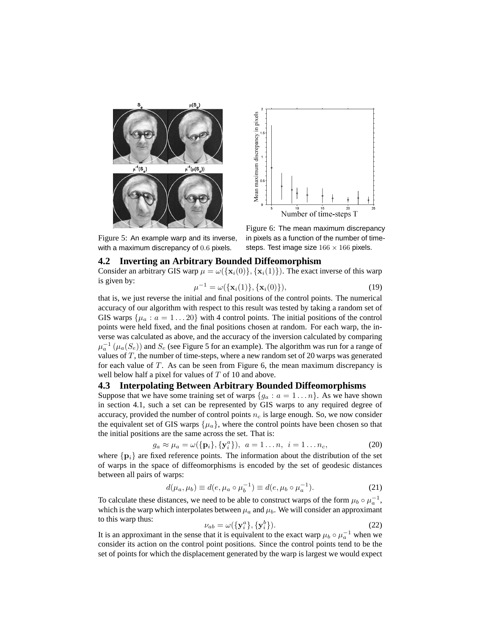

Figure 5: An example warp and its inverse, with a maximum discrepancy of 0.6 pixels.

 $\mu$ 



Figure 6: The mean maximum discrepancy in pixels as a function of the number of timesteps. Test image size  $166 \times 166$  pixels.

**4.2 Inverting an Arbitrary Bounded Diffeomorphism** Consider an arbitrary GIS warp  $\mu = \omega(\{\mathbf{x}_i(0)\}, \{\mathbf{x}_i(1)\})$ . The exact inverse of this warp is given by:

$$
e^{-1} = \omega(\{\mathbf{x}_i(1)\}, \{\mathbf{x}_i(0)\}),
$$
\n(19)

that is, we just reverse the initial and final positions of the control points. The numerical accuracy of our algorithm with respect to this result was tested by taking a random set of GIS warps  $\{\mu_a : a = 1 \dots 20\}$  with 4 control points. The initial positions of the control points were held fixed, and the final positions chosen at random. For each warp, the inverse was calculated as above, and the accuracy of the inversion calculated by comparing  $\mu_a^{-1}(\mu_a(S_e))$  and  $S_e$  (see Figure 5 for an example). The algorithm was run for a range of values of  $T$ , the number of time-steps, where a new random set of 20 warps was generated for each value of T. As can be seen from Figure 6, the mean maximum discrepancy is well below half a pixel for values of  $T$  of 10 and above.

#### **4.3 Interpolating Between Arbitrary Bounded Diffeomorphisms**

Suppose that we have some training set of warps  $\{g_a : a = 1 \dots n\}$ . As we have shown in section 4.1, such a set can be represented by GIS warps to any required degree of accuracy, provided the number of control points  $n_c$  is large enough. So, we now consider the equivalent set of GIS warps  $\{\mu_a\}$ , where the control points have been chosen so that the initial positions are the same across the set. That is:

$$
g_a \approx \mu_a = \omega(\{\mathbf{p}_i\}, \{\mathbf{y}_i^a\}), \ a = 1 \dots n, \ i = 1 \dots n_c,
$$
 (20)

where  $\{p_i\}$  are fixed reference points. The information about the distribution of the set of warps in the space of diffeomorphisms is encoded by the set of geodesic distances between all pairs of warps:

$$
d(\mu_a, \mu_b) \equiv d(e, \mu_a \circ \mu_b^{-1}) \equiv d(e, \mu_b \circ \mu_a^{-1}).
$$
 (21)

To calculate these distances, we need to be able to construct warps of the form  $\mu_b \circ \mu_a^{-1}$ , which is the warp which interpolates between  $\mu_a$  and  $\mu_b$ . We will consider an approximant to this warp thus:

$$
\nu_{ab} = \omega(\lbrace \mathbf{y}_i^a \rbrace, \lbrace \mathbf{y}_i^b \rbrace). \tag{22}
$$

It is an approximant in the sense that it is equivalent to the exact warp  $\mu_b \circ \mu_a^{-1}$  when we consider its action on the control point positions. Since the control points tend to be the set of points for which the displacement generated by the warp is largest we would expect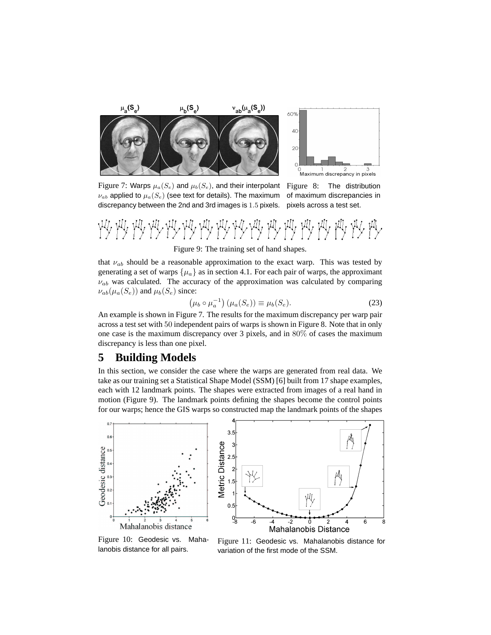

Figure 7: Warps  $\mu_a(S_e)$  and  $\mu_b(S_e)$ , and their interpolant  $\nu_{ab}$  applied to  $\mu_a(S_e)$  (see text for details). The maximum discrepancy between the 2nd and 3rd images is 1.5 pixels.

Figure 8: The distribution of maximum discrepancies in pixels across a test set.



that  $\nu_{ab}$  should be a reasonable approximation to the exact warp. This was tested by generating a set of warps  $\{\mu_a\}$  as in section 4.1. For each pair of warps, the approximant  $\nu_{ab}$  was calculated. The accuracy of the approximation was calculated by comparing  $\nu_{ab}(\mu_a(S_e))$  and  $\mu_b(S_e)$  since: ¢

$$
\left(\mu_b \circ \mu_a^{-1}\right) \left(\mu_a(S_e)\right) \equiv \mu_b(S_e). \tag{23}
$$

An example is shown in Figure 7. The results for the maximum discrepancy per warp pair across a test set with 50 independent pairs of warps is shown in Figure 8. Note that in only one case is the maximum discrepancy over 3 pixels, and in 80% of cases the maximum discrepancy is less than one pixel.

## **5 Building Models**

In this section, we consider the case where the warps are generated from real data. We take as our training set a Statistical Shape Model (SSM) [6] built from 17 shape examples, each with 12 landmark points. The shapes were extracted from images of a real hand in motion (Figure 9). The landmark points defining the shapes become the control points for our warps; hence the GIS warps so constructed map the landmark points of the shapes



Figure 10: Geodesic vs. Mahalanobis distance for all pairs.

Figure 11: Geodesic vs. Mahalanobis distance for variation of the first mode of the SSM.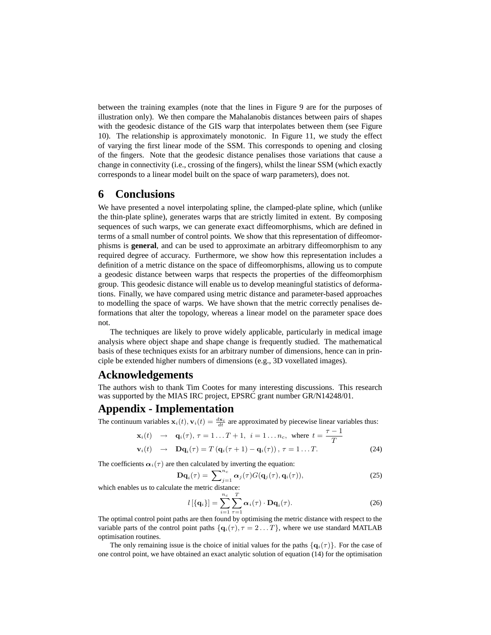between the training examples (note that the lines in Figure 9 are for the purposes of illustration only). We then compare the Mahalanobis distances between pairs of shapes with the geodesic distance of the GIS warp that interpolates between them (see Figure 10). The relationship is approximately monotonic. In Figure 11, we study the effect of varying the first linear mode of the SSM. This corresponds to opening and closing of the fingers. Note that the geodesic distance penalises those variations that cause a change in connectivity (i.e., crossing of the fingers), whilst the linear SSM (which exactly corresponds to a linear model built on the space of warp parameters), does not.

# **6 Conclusions**

We have presented a novel interpolating spline, the clamped-plate spline, which (unlike the thin-plate spline), generates warps that are strictly limited in extent. By composing sequences of such warps, we can generate exact diffeomorphisms, which are defined in terms of a small number of control points. We show that this representation of diffeomorphisms is **general**, and can be used to approximate an arbitrary diffeomorphism to any required degree of accuracy. Furthermore, we show how this representation includes a definition of a metric distance on the space of diffeomorphisms, allowing us to compute a geodesic distance between warps that respects the properties of the diffeomorphism group. This geodesic distance will enable us to develop meaningful statistics of deformations. Finally, we have compared using metric distance and parameter-based approaches to modelling the space of warps. We have shown that the metric correctly penalises deformations that alter the topology, whereas a linear model on the parameter space does not.

The techniques are likely to prove widely applicable, particularly in medical image analysis where object shape and shape change is frequently studied. The mathematical basis of these techniques exists for an arbitrary number of dimensions, hence can in principle be extended higher numbers of dimensions (e.g., 3D voxellated images).

### **Acknowledgements**

The authors wish to thank Tim Cootes for many interesting discussions. This research was supported by the MIAS IRC project, EPSRC grant number GR/N14248/01.

# **Appendix - Implementation**

The continuum variables  $\mathbf{x}_i(t), \mathbf{v}_i(t) = \frac{d\mathbf{x}_i}{dt}$  are approximated by piecewise linear variables thus:

$$
\mathbf{x}_{i}(t) \rightarrow \mathbf{q}_{i}(\tau), \tau = 1...T+1, \ i = 1...n_{c}, \text{ where } t = \frac{\tau - 1}{T}
$$
  

$$
\mathbf{v}_{i}(t) \rightarrow \mathbf{D}\mathbf{q}_{i}(\tau) = T(\mathbf{q}_{i}(\tau + 1) - \mathbf{q}_{i}(\tau)), \ \tau = 1...T.
$$
 (24)

The coefficients  $\alpha_i(\tau)$  are then calculated by inverting the equation:

$$
\mathbf{D}\mathbf{q}_i(\tau) = \sum_{j=1}^{n_c} \alpha_j(\tau) G(\mathbf{q}_j(\tau), \mathbf{q}_i(\tau)),
$$
\n(25)

which enables us to calculate the metric distance:

$$
l\left[\left\{\mathbf{q}_i\right\}\right] = \sum_{i=1}^{n_c} \sum_{\tau=1}^{T} \alpha_i(\tau) \cdot \mathbf{D} \mathbf{q}_i(\tau). \tag{26}
$$

The optimal control point paths are then found by optimising the metric distance with respect to the variable parts of the control point paths  $\{q_i(\tau), \tau = 2 \dots T\}$ , where we use standard MATLAB optimisation routines.

The only remaining issue is the choice of initial values for the paths  $\{q_i(\tau)\}\$ . For the case of one control point, we have obtained an exact analytic solution of equation (14) for the optimisation